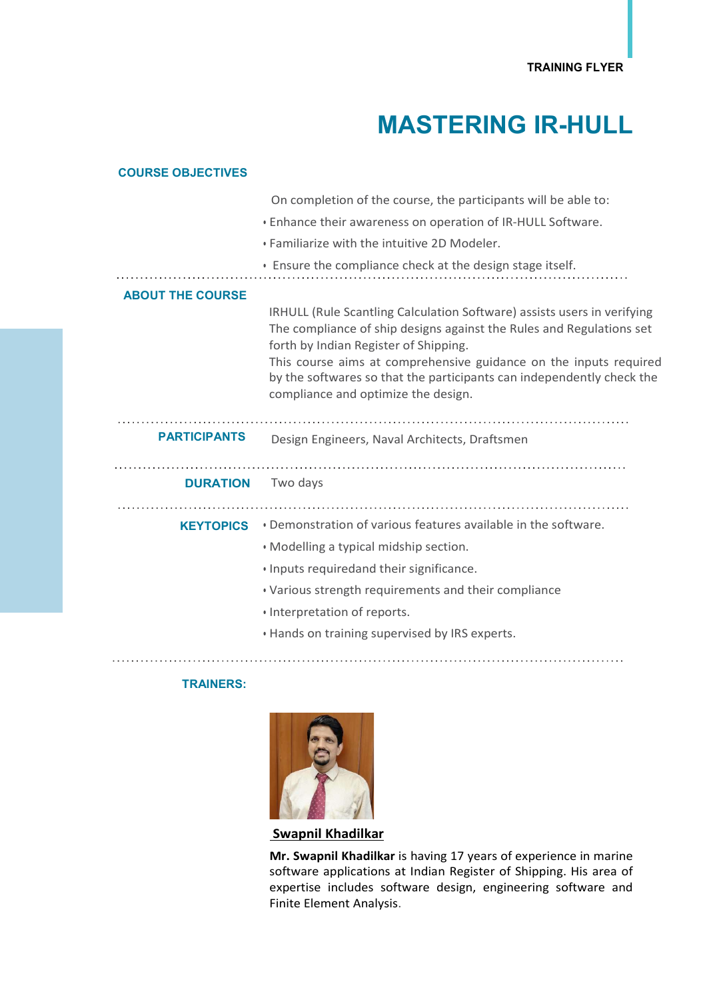## MASTERING IR-HULL

| <b>COURSE OBJECTIVES</b> |                                                                                                                                                                                                                                                                                                                                        |
|--------------------------|----------------------------------------------------------------------------------------------------------------------------------------------------------------------------------------------------------------------------------------------------------------------------------------------------------------------------------------|
|                          | On completion of the course, the participants will be able to:                                                                                                                                                                                                                                                                         |
|                          | . Enhance their awareness on operation of IR-HULL Software.                                                                                                                                                                                                                                                                            |
|                          | . Familiarize with the intuitive 2D Modeler.                                                                                                                                                                                                                                                                                           |
|                          | • Ensure the compliance check at the design stage itself.                                                                                                                                                                                                                                                                              |
| <b>ABOUT THE COURSE</b>  |                                                                                                                                                                                                                                                                                                                                        |
|                          | IRHULL (Rule Scantling Calculation Software) assists users in verifying<br>The compliance of ship designs against the Rules and Regulations set<br>forth by Indian Register of Shipping.<br>This course aims at comprehensive guidance on the inputs required<br>by the softwares so that the participants can independently check the |
|                          | compliance and optimize the design.                                                                                                                                                                                                                                                                                                    |
| <b>PARTICIPANTS</b>      | Design Engineers, Naval Architects, Draftsmen                                                                                                                                                                                                                                                                                          |
| <b>DURATION</b>          | Two days                                                                                                                                                                                                                                                                                                                               |
|                          |                                                                                                                                                                                                                                                                                                                                        |
| <b>KEYTOPICS</b>         | . Demonstration of various features available in the software.                                                                                                                                                                                                                                                                         |
|                          | . Modelling a typical midship section.                                                                                                                                                                                                                                                                                                 |
|                          | · Inputs requiredand their significance.                                                                                                                                                                                                                                                                                               |
|                          |                                                                                                                                                                                                                                                                                                                                        |
|                          | . Various strength requirements and their compliance                                                                                                                                                                                                                                                                                   |
|                          | · Interpretation of reports.                                                                                                                                                                                                                                                                                                           |
|                          | . Hands on training supervised by IRS experts.                                                                                                                                                                                                                                                                                         |

## TRAINERS:



Swapnil Khadilkar

Mr. Swapnil Khadilkar is having 17 years of experience in marine software applications at Indian Register of Shipping. His area of expertise includes software design, engineering software and Finite Element Analysis.